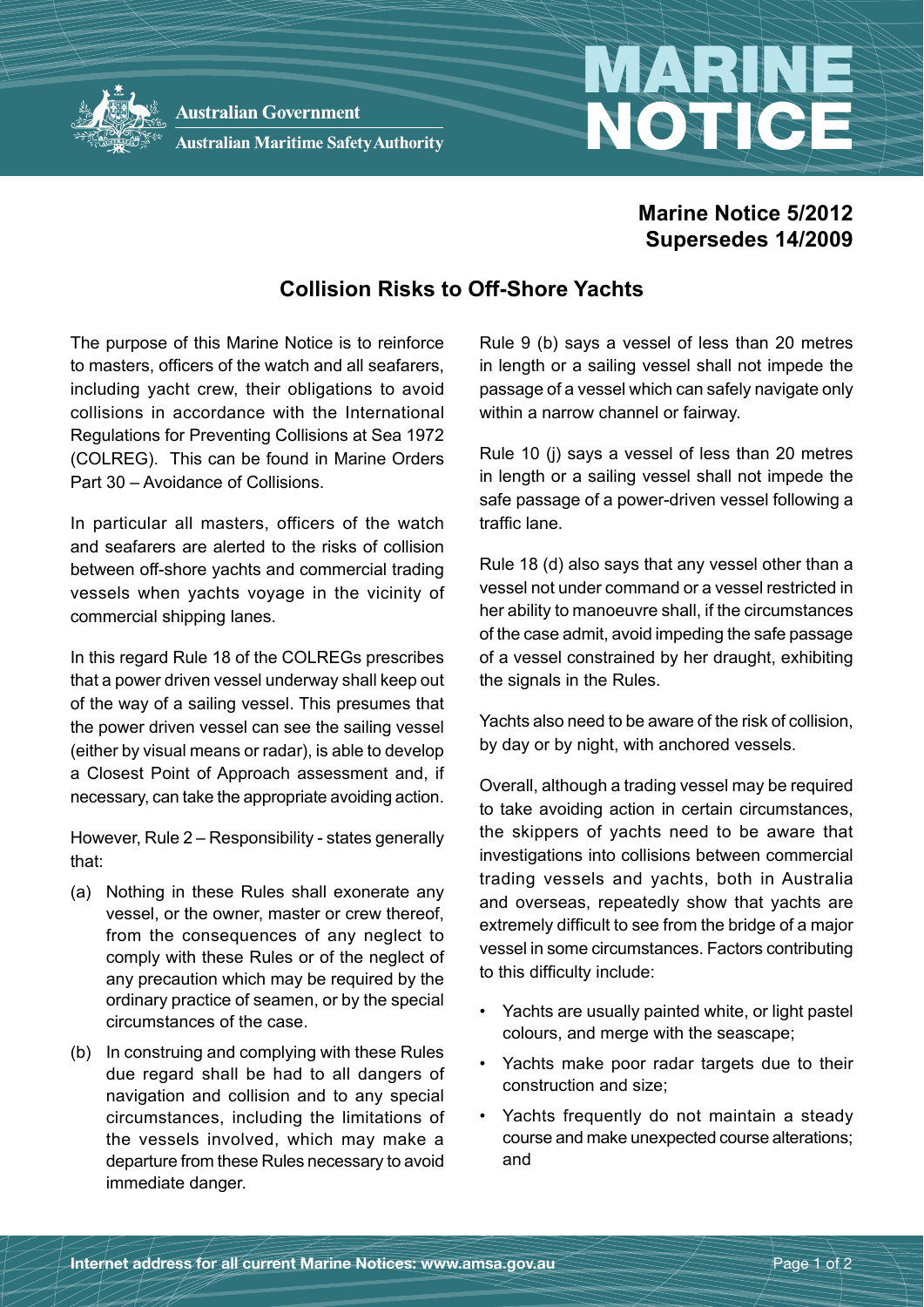

Australian Maritime Safety Authority

## **Marine Notice 5/2012 Supersedes 14/2009**

NOTICE

## **Collision Risks to Off-Shore Yachts**

The purpose of this Marine Notice is to reinforce to masters, officers of the watch and all seafarers, including yacht crew, their obligations to avoid collisions in accordance with the International Regulations for Preventing Collisions at Sea 1972 (COLREG). This can be found in Marine Orders Part 30 – Avoidance of Collisions.

In particular all masters, officers of the watch and seafarers are alerted to the risks of collision between off-shore yachts and commercial trading vessels when yachts voyage in the vicinity of commercial shipping lanes.

In this regard Rule 18 of the COLREGs prescribes that a power driven vessel underway shall keep out of the way of a sailing vessel. This presumes that the power driven vessel can see the sailing vessel (either by visual means or radar), is able to develop a Closest Point of Approach assessment and, if necessary, can take the appropriate avoiding action.

However, Rule 2 – Responsibility - states generally that:

- (a) Nothing in these Rules shall exonerate any vessel, or the owner, master or crew thereof, from the consequences of any neglect to comply with these Rules or of the neglect of any precaution which may be required by the ordinary practice of seamen, or by the special circumstances of the case.
- (b) In construing and complying with these Rules due regard shall be had to all dangers of navigation and collision and to any special circumstances, including the limitations of the vessels involved, which may make a departure from these Rules necessary to avoid immediate danger.

Rule 9 (b) says a vessel of less than 20 metres in length or a sailing vessel shall not impede the passage of a vessel which can safely navigate only within a narrow channel or fairway.

Rule 10 (j) says a vessel of less than 20 metres in length or a sailing vessel shall not impede the safe passage of a power-driven vessel following a traffic lane.

Rule 18 (d) also says that any vessel other than a vessel not under command or a vessel restricted in her ability to manoeuvre shall, if the circumstances of the case admit, avoid impeding the safe passage of a vessel constrained by her draught, exhibiting the signals in the Rules.

Yachts also need to be aware of the risk of collision, by day or by night, with anchored vessels.

Overall, although a trading vessel may be required to take avoiding action in certain circumstances, the skippers of yachts need to be aware that investigations into collisions between commercial trading vessels and yachts, both in Australia and overseas, repeatedly show that yachts are extremely difficult to see from the bridge of a major vessel in some circumstances. Factors contributing to this difficulty include:

- Yachts are usually painted white, or light pastel colours, and merge with the seascape;
- Yachts make poor radar targets due to their construction and size;
- Yachts frequently do not maintain a steady course and make unexpected course alterations; and